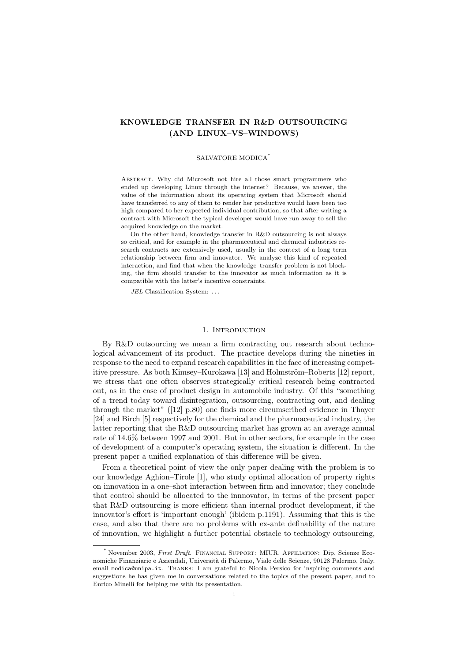# KNOWLEDGE TRANSFER IN R&D OUTSOURCING (AND LINUX–VS–WINDOWS)

#### SALVATORE MODICA<sup>∗</sup>

Abstract. Why did Microsoft not hire all those smart programmers who ended up developing Linux through the internet? Because, we answer, the value of the information about its operating system that Microsoft should have transferred to any of them to render her productive would have been too high compared to her expected individual contribution, so that after writing a contract with Microsoft the typical developer would have run away to sell the acquired knowledge on the market.

On the other hand, knowledge transfer in R&D outsourcing is not always so critical, and for example in the pharmaceutical and chemical industries research contracts are extensively used, usually in the context of a long term relationship between firm and innovator. We analyze this kind of repeated interaction, and find that when the knowledge–transfer problem is not blocking, the firm should transfer to the innovator as much information as it is compatible with the latter's incentive constraints.

JEL Classification System: ...

### 1. INTRODUCTION

By R&D outsourcing we mean a firm contracting out research about technological advancement of its product. The practice develops during the nineties in response to the need to expand research capabilities in the face of increasing competitive pressure. As both Kimsey–Kurokawa [13] and Holmström–Roberts [12] report, we stress that one often observes strategically critical research being contracted out, as in the case of product design in automobile industry. Of this "something of a trend today toward disintegration, outsourcing, contracting out, and dealing through the market" ([12] p.80) one finds more circumscribed evidence in Thayer [24] and Birch [5] respectively for the chemical and the pharmaceutical industry, the latter reporting that the R&D outsourcing market has grown at an average annual rate of 14.6% between 1997 and 2001. But in other sectors, for example in the case of development of a computer's operating system, the situation is different. In the present paper a unified explanation of this difference will be given.

From a theoretical point of view the only paper dealing with the problem is to our knowledge Aghion–Tirole [1], who study optimal allocation of property rights on innovation in a one–shot interaction between firm and innovator; they conclude that control should be allocated to the innnovator, in terms of the present paper that R&D outsourcing is more efficient than internal product development, if the innovator's effort is 'important enough' (ibidem p.1191). Assuming that this is the case, and also that there are no problems with ex-ante definability of the nature of innovation, we highlight a further potential obstacle to technology outsourcing,

<sup>∗</sup> November 2003, First Draft. Financial Support: MIUR. Affiliation: Dip. Scienze Economiche Finanziarie e Aziendali, Università di Palermo, Viale delle Scienze, 90128 Palermo, Italy. email modica@unipa.it. Thanks: I am grateful to Nicola Persico for inspiring comments and suggestions he has given me in conversations related to the topics of the present paper, and to Enrico Minelli for helping me with its presentation.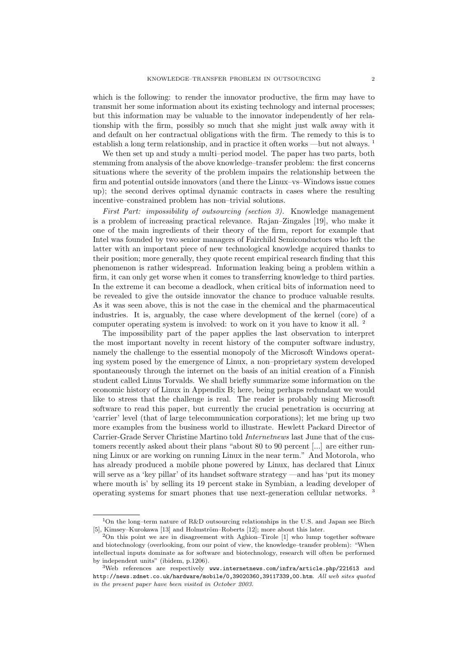which is the following: to render the innovator productive, the firm may have to transmit her some information about its existing technology and internal processes; but this information may be valuable to the innovator independently of her relationship with the firm, possibly so much that she might just walk away with it and default on her contractual obligations with the firm. The remedy to this is to establish a long term relationship, and in practice it often works —but not always. <sup>1</sup>

We then set up and study a multi–period model. The paper has two parts, both stemming from analysis of the above knowledge–transfer problem: the first concerns situations where the severity of the problem impairs the relationship between the firm and potential outside innovators (and there the Linux–vs–Windows issue comes up); the second derives optimal dynamic contracts in cases where the resulting incentive–constrained problem has non–trivial solutions.

First Part: impossibility of outsourcing (section 3). Knowledge management is a problem of increasing practical relevance. Rajan–Zingales [19], who make it one of the main ingredients of their theory of the firm, report for example that Intel was founded by two senior managers of Fairchild Semiconductors who left the latter with an important piece of new technological knowledge acquired thanks to their position; more generally, they quote recent empirical research finding that this phenomenon is rather widespread. Information leaking being a problem within a firm, it can only get worse when it comes to transferring knowledge to third parties. In the extreme it can become a deadlock, when critical bits of information need to be revealed to give the outside innovator the chance to produce valuable results. As it was seen above, this is not the case in the chemical and the pharmaceutical industries. It is, arguably, the case where development of the kernel (core) of a computer operating system is involved: to work on it you have to know it all. <sup>2</sup>

The impossibility part of the paper applies the last observation to interpret the most important novelty in recent history of the computer software industry, namely the challenge to the essential monopoly of the Microsoft Windows operating system posed by the emergence of Linux, a non–proprietary system developed spontaneously through the internet on the basis of an initial creation of a Finnish student called Linus Torvalds. We shall briefly summarize some information on the economic history of Linux in Appendix B; here, being perhaps redundant we would like to stress that the challenge is real. The reader is probably using Microsoft software to read this paper, but currently the crucial penetration is occurring at 'carrier' level (that of large telecommunication corporations); let me bring up two more examples from the business world to illustrate. Hewlett Packard Director of Carrier-Grade Server Christine Martino told Internetnews last June that of the customers recently asked about their plans "about 80 to 90 percent [...] are either running Linux or are working on running Linux in the near term." And Motorola, who has already produced a mobile phone powered by Linux, has declared that Linux will serve as a 'key pillar' of its handset software strategy —and has 'put its money where mouth is' by selling its 19 percent stake in Symbian, a leading developer of operating systems for smart phones that use next-generation cellular networks. <sup>3</sup>

<sup>1</sup>On the long–term nature of R&D outsourcing relationships in the U.S. and Japan see Birch [5], Kimsey–Kurokawa [13] and Holmström–Roberts [12]; more about this later.

 $2$ On this point we are in disagreement with Aghion–Tirole [1] who lump together software and biotechnology (overlooking, from our point of view, the knowledge–transfer problem): "When intellectual inputs dominate as for software and biotechnology, research will often be performed by independent units" (ibidem, p.1206).

 $3$ Web references are respectively www.internetnews.com/infra/article.php/221613 and http://news.zdnet.co.uk/hardware/mobile/0,39020360,39117339,00.htm. All web sites quoted in the present paper have been visited in October 2003.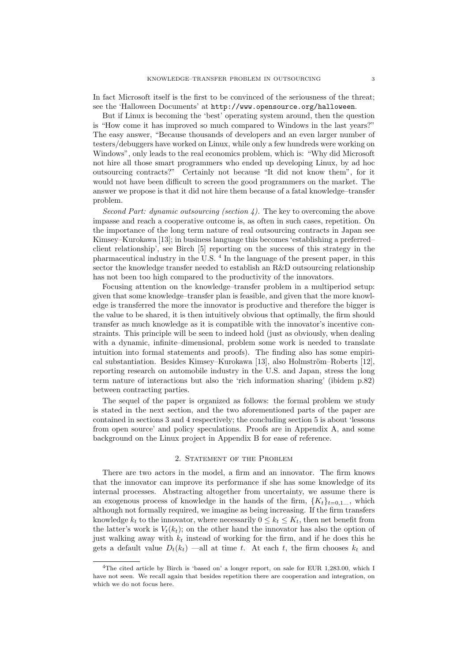In fact Microsoft itself is the first to be convinced of the seriousness of the threat; see the 'Halloween Documents' at http://www.opensource.org/halloween.

But if Linux is becoming the 'best' operating system around, then the question is "How come it has improved so much compared to Windows in the last years?" The easy answer, "Because thousands of developers and an even larger number of testers/debuggers have worked on Linux, while only a few hundreds were working on Windows", only leads to the real economics problem, which is: "Why did Microsoft not hire all those smart programmers who ended up developing Linux, by ad hoc outsourcing contracts?" Certainly not because "It did not know them", for it would not have been difficult to screen the good programmers on the market. The answer we propose is that it did not hire them because of a fatal knowledge–transfer problem.

Second Part: dynamic outsourcing (section  $\lambda$ ). The key to overcoming the above impasse and reach a cooperative outcome is, as often in such cases, repetition. On the importance of the long term nature of real outsourcing contracts in Japan see Kimsey–Kurokawa [13]; in business language this becomes 'establishing a preferred– client relationship', see Birch [5] reporting on the success of this strategy in the pharmaceutical industry in the U.S. <sup>4</sup> In the language of the present paper, in this sector the knowledge transfer needed to establish an R&D outsourcing relationship has not been too high compared to the productivity of the innovators.

Focusing attention on the knowledge–transfer problem in a multiperiod setup: given that some knowledge–transfer plan is feasible, and given that the more knowledge is transferred the more the innovator is productive and therefore the bigger is the value to be shared, it is then intuitively obvious that optimally, the firm should transfer as much knowledge as it is compatible with the innovator's incentive constraints. This principle will be seen to indeed hold (just as obviously, when dealing with a dynamic, infinite–dimensional, problem some work is needed to translate intuition into formal statements and proofs). The finding also has some empirical substantiation. Besides Kimsey–Kurokawa [13], also Holmström–Roberts [12]. reporting research on automobile industry in the U.S. and Japan, stress the long term nature of interactions but also the 'rich information sharing' (ibidem p.82) between contracting parties.

The sequel of the paper is organized as follows: the formal problem we study is stated in the next section, and the two aforementioned parts of the paper are contained in sections 3 and 4 respectively; the concluding section 5 is about 'lessons from open source' and policy speculations. Proofs are in Appendix A, and some background on the Linux project in Appendix B for ease of reference.

## 2. STATEMENT OF THE PROBLEM

There are two actors in the model, a firm and an innovator. The firm knows that the innovator can improve its performance if she has some knowledge of its internal processes. Abstracting altogether from uncertainty, we assume there is an exogenous process of knowledge in the hands of the firm,  ${K_t}_{t=0,1...}$ , which although not formally required, we imagine as being increasing. If the firm transfers knowledge  $k_t$  to the innovator, where necessarily  $0 \leq k_t \leq K_t$ , then net benefit from the latter's work is  $V_t(k_t)$ ; on the other hand the innovator has also the option of just walking away with  $k_t$  instead of working for the firm, and if he does this he gets a default value  $D_t(k_t)$  —all at time t. At each t, the firm chooses  $k_t$  and

<sup>&</sup>lt;sup>4</sup>The cited article by Birch is 'based on' a longer report, on sale for EUR 1,283.00, which I have not seen. We recall again that besides repetition there are cooperation and integration, on which we do not focus here.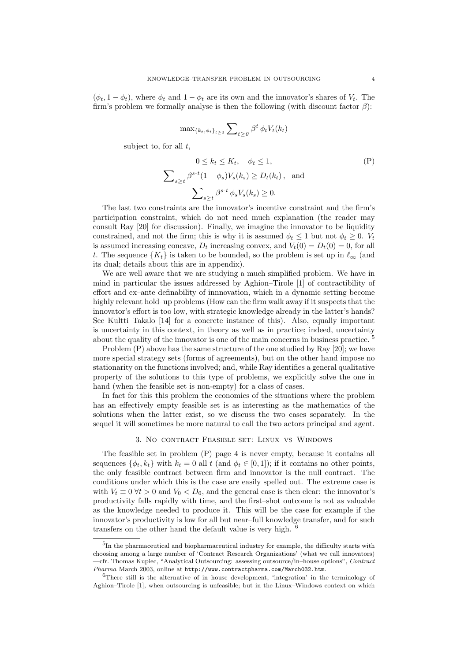$(\phi_t, 1 - \phi_t)$ , where  $\phi_t$  and  $1 - \phi_t$  are its own and the innovator's shares of  $V_t$ . The firm's problem we formally analyse is then the following (with discount factor  $\beta$ ):

$$
\max_{\{k_t, \phi_t\}_{t \ge 0}} \sum\nolimits_{t \ge 0} \beta^t \phi_t V_t(k_t)
$$

subject to, for all  $t$ ,

$$
0 \le k_t \le K_t, \quad \phi_t \le 1,
$$
  

$$
\sum_{s \ge t} \beta^{s-t} (1 - \phi_s) V_s(k_s) \ge D_t(k_t), \text{ and}
$$
  

$$
\sum_{s \ge t} \beta^{s-t} \phi_s V_s(k_s) \ge 0.
$$
 (P)

The last two constraints are the innovator's incentive constraint and the firm's participation constraint, which do not need much explanation (the reader may consult Ray [20] for discussion). Finally, we imagine the innovator to be liquidity constrained, and not the firm; this is why it is assumed  $\phi_t \leq 1$  but not  $\phi_t \geq 0$ .  $V_t$ is assumed increasing concave,  $D_t$  increasing convex, and  $V_t(0) = D_t(0) = 0$ , for all t. The sequence  ${K_t}$  is taken to be bounded, so the problem is set up in  $\ell_{\infty}$  (and its dual; details about this are in appendix).

We are well aware that we are studying a much simplified problem. We have in mind in particular the issues addressed by Aghion–Tirole [1] of contractibility of effort and ex–ante definability of innnovation, which in a dynamic setting become highly relevant hold–up problems (How can the firm walk away if it suspects that the innovator's effort is too low, with strategic knowledge already in the latter's hands? See Kultti–Takalo [14] for a concrete instance of this). Also, equally important is uncertainty in this context, in theory as well as in practice; indeed, uncertainty about the quality of the innovator is one of the main concerns in business practice.  $5$ 

Problem (P) above has the same structure of the one studied by Ray [20]; we have more special strategy sets (forms of agreements), but on the other hand impose no stationarity on the functions involved; and, while Ray identifies a general qualitative property of the solutions to this type of problems, we explicitly solve the one in hand (when the feasible set is non-empty) for a class of cases.

In fact for this this problem the economics of the situations where the problem has an effectively empty feasible set is as interesting as the mathematics of the solutions when the latter exist, so we discuss the two cases separately. In the sequel it will sometimes be more natural to call the two actors principal and agent.

#### 3. No–contract Feasible set: Linux–vs–Windows

The feasible set in problem (P) page 4 is never empty, because it contains all sequences  $\{\phi_t, k_t\}$  with  $k_t = 0$  all t (and  $\phi_t \in [0, 1]$ ); if it contains no other points, the only feasible contract between firm and innovator is the null contract. The conditions under which this is the case are easily spelled out. The extreme case is with  $V_t \equiv 0 \ \forall t > 0$  and  $V_0 < D_0$ , and the general case is then clear: the innovator's productivity falls rapidly with time, and the first–shot outcome is not as valuable as the knowledge needed to produce it. This will be the case for example if the innovator's productivity is low for all but near–full knowledge transfer, and for such transfers on the other hand the default value is very high. <sup>6</sup>

<sup>&</sup>lt;sup>5</sup>In the pharmaceutical and biopharmaceutical industry for example, the difficulty starts with choosing among a large number of 'Contract Research Organizations' (what we call innovators) —cfr. Thomas Kupiec, "Analytical Outsourcing: assessing outsource/in–house options", Contract Pharma March 2003, online at http://www.contractpharma.com/March032.htm.

 ${}^{6}$ There still is the alternative of in–house development, 'integration' in the terminology of Aghion–Tirole [1], when outsourcing is unfeasible; but in the Linux–Windows context on which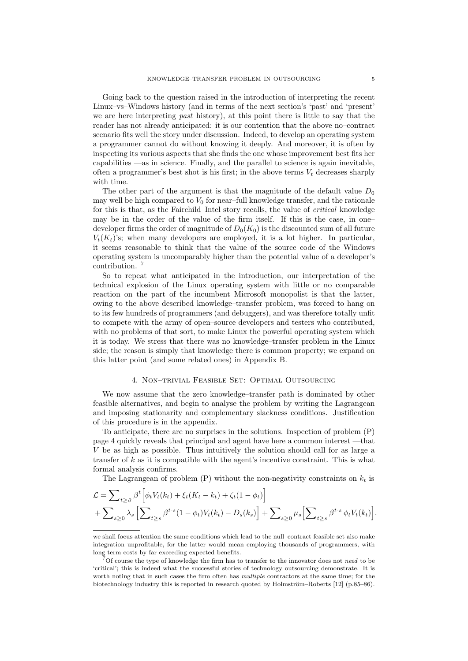Going back to the question raised in the introduction of interpreting the recent Linux–vs–Windows history (and in terms of the next section's 'past' and 'present' we are here interpreting past history), at this point there is little to say that the reader has not already anticipated: it is our contention that the above no–contract scenario fits well the story under discussion. Indeed, to develop an operating system a programmer cannot do without knowing it deeply. And moreover, it is often by inspecting its various aspects that she finds the one whose improvement best fits her capabilities —as in science. Finally, and the parallel to science is again inevitable, often a programmer's best shot is his first; in the above terms  $V_t$  decreases sharply with time.

The other part of the argument is that the magnitude of the default value  $D_0$ may well be high compared to  $V_0$  for near-full knowledge transfer, and the rationale for this is that, as the Fairchild–Intel story recalls, the value of critical knowledge may be in the order of the value of the firm itself. If this is the case, in one– developer firms the order of magnitude of  $D_0(K_0)$  is the discounted sum of all future  $V_t(K_t)$ 's; when many developers are employed, it is a lot higher. In particular, it seems reasonable to think that the value of the source code of the Windows operating system is uncomparably higher than the potential value of a developer's contribution. <sup>7</sup>

So to repeat what anticipated in the introduction, our interpretation of the technical explosion of the Linux operating system with little or no comparable reaction on the part of the incumbent Microsoft monopolist is that the latter, owing to the above described knowledge–transfer problem, was forced to hang on to its few hundreds of programmers (and debuggers), and was therefore totally unfit to compete with the army of open–source developers and testers who contributed, with no problems of that sort, to make Linux the powerful operating system which it is today. We stress that there was no knowledge–transfer problem in the Linux side; the reason is simply that knowledge there is common property; we expand on this latter point (and some related ones) in Appendix B.

#### 4. Non–trivial Feasible Set: Optimal Outsourcing

We now assume that the zero knowledge–transfer path is dominated by other feasible alternatives, and begin to analyse the problem by writing the Lagrangean and imposing stationarity and complementary slackness conditions. Justification of this procedure is in the appendix.

To anticipate, there are no surprises in the solutions. Inspection of problem (P) page 4 quickly reveals that principal and agent have here a common interest —that V be as high as possible. Thus intuitively the solution should call for as large a transfer of  $k$  as it is compatible with the agent's incentive constraint. This is what formal analysis confirms.

The Lagrangean of problem  $(P)$  without the non-negativity constraints on  $k_t$  is

$$
\mathcal{L} = \sum_{t \ge 0} \beta^t \Big[ \phi_t V_t(k_t) + \xi_t (K_t - k_t) + \zeta_t (1 - \phi_t) \Big] \n+ \sum_{s \ge 0} \lambda_s \Big[ \sum_{t \ge s} \beta^{t-s} (1 - \phi_t) V_t(k_t) - D_s(k_s) \Big] + \sum_{s \ge 0} \mu_s \Big[ \sum_{t \ge s} \beta^{t-s} \phi_t V_t(k_t) \Big].
$$

we shall focus attention the same conditions which lead to the null–contract feasible set also make integration unprofitable, for the latter would mean employing thousands of programmers, with long term costs by far exceeding expected benefits.

 $7$ Of course the type of knowledge the firm has to transfer to the innovator does not need to be 'critical'; this is indeed what the successful stories of technology outsourcing demonstrate. It is worth noting that in such cases the firm often has multiple contractors at the same time; for the biotechnology industry this is reported in research quoted by Holmström–Roberts [12] (p.85–86).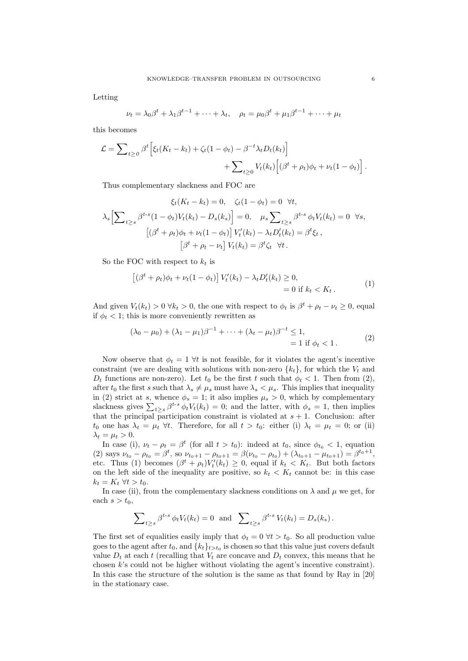Letting

$$
\nu_t = \lambda_0 \beta^t + \lambda_1 \beta^{t-1} + \dots + \lambda_t, \quad \rho_t = \mu_0 \beta^t + \mu_1 \beta^{t-1} + \dots + \mu_t
$$

this becomes

$$
\mathcal{L} = \sum_{t \ge 0} \beta^t \left[ \xi_t (K_t - k_t) + \zeta_t (1 - \phi_t) - \beta^{-t} \lambda_t D_t(k_t) \right] + \sum_{t \ge 0} V_t(k_t) \left[ (\beta^t + \rho_t) \phi_t + \nu_t (1 - \phi_t) \right].
$$

Thus complementary slackness and FOC are

$$
\xi_t(K_t - k_t) = 0, \quad \zeta_t(1 - \phi_t) = 0 \quad \forall t,
$$
  

$$
\lambda_s \Big[\sum_{t \ge s} \beta^{t-s} (1 - \phi_t) V_t(k_t) - D_s(k_s) \Big] = 0, \quad \mu_s \sum_{t \ge s} \beta^{t-s} \phi_t V_t(k_t) = 0 \quad \forall s,
$$
  

$$
\left[ (\beta^t + \rho_t) \phi_t + \nu_t (1 - \phi_t) \right] V'_t(k_t) - \lambda_t D'_t(k_t) = \beta^t \zeta_t,
$$
  

$$
\left[ \beta^t + \rho_t - \nu_t \right] V_t(k_t) = \beta^t \zeta_t \quad \forall t.
$$

So the FOC with respect to  $k_t$  is

$$
\left[ (\beta^t + \rho_t)\phi_t + \nu_t (1 - \phi_t) \right] V'_t(k_t) - \lambda_t D'_t(k_t) \ge 0,
$$
  
= 0 if  $k_t < K_t$ . (1)

And given  $V_t(k_t) > 0 \ \forall k_t > 0$ , the one with respect to  $\phi_t$  is  $\beta^t + \rho_t - \nu_t \geq 0$ , equal if  $\phi_t$  < 1; this is more conveniently rewritten as

$$
(\lambda_0 - \mu_0) + (\lambda_1 - \mu_1)\beta^{-1} + \dots + (\lambda_t - \mu_t)\beta^{-t} \le 1,= 1 \text{ if } \phi_t < 1.
$$
 (2)

Now observe that  $\phi_t = 1 \forall t$  is not feasible, for it violates the agent's incentive constraint (we are dealing with solutions with non-zero  $\{k_t\}$ , for which the  $V_t$  and  $D_t$  functions are non-zero). Let  $t_0$  be the first t such that  $\phi_t < 1$ . Then from (2), after  $t_0$  the first s such that  $\lambda_s \neq \mu_s$  must have  $\lambda_s < \mu_s$ . This implies that inequality in (2) strict at s, whence  $\phi_s = 1$ ; it also implies  $\mu_s > 0$ , which by complementary slackness gives  $\sum_{t\geq s} \beta^{t-s} \phi_t V_t(k_t) = 0$ ; and the latter, with  $\phi_s = 1$ , then implies that the principal participation constraint is violated at  $s + 1$ . Conclusion: after  $t_0$  one has  $\lambda_t = \mu_t \ \forall t$ . Therefore, for all  $t > t_0$ : either (i)  $\lambda_t = \mu_t = 0$ ; or (ii)  $\lambda_t = \mu_t > 0.$ 

In case (i),  $\nu_t - \rho_t = \beta^t$  (for all  $t > t_0$ ): indeed at  $t_0$ , since  $\phi_{t_0} < 1$ , equation (2) says  $\nu_{t_0} - \rho_{t_0} = \beta^t$ , so  $\nu_{t_0+1} - \rho_{t_0+1} = \beta(\nu_{t_0} - \rho_{t_0}) + (\lambda_{t_0+1} - \mu_{t_0+1}) = \beta^{t_0+1}$ , etc. Thus (1) becomes  $(\beta^t + \rho_t) V'_t(k_t) \geq 0$ , equal if  $k_t < K_t$ . But both factors on the left side of the inequality are positive, so  $k_t < K_t$  cannot be: in this case  $k_t = K_t \ \forall t > t_0.$ 

In case (ii), from the complementary slackness conditions on  $\lambda$  and  $\mu$  we get, for each  $s > t_0$ ,

$$
\sum_{t\geq s}\beta^{t-s}\,\phi_tV_t(k_t)=0\text{ and }\sum_{t\geq s}\beta^{t-s}\,V_t(k_t)=D_s(k_s)\,.
$$

The first set of equalities easily imply that  $\phi_t = 0 \forall t > t_0$ . So all production value goes to the agent after  $t_0$ , and  $\{k_t\}_{t>t_0}$  is chosen so that this value just covers default value  $D_t$  at each t (recalling that  $V_t$  are concave and  $D_t$  convex, this means that he chosen  $k$ 's could not be higher without violating the agent's incentive constraint). In this case the structure of the solution is the same as that found by Ray in [20] in the stationary case.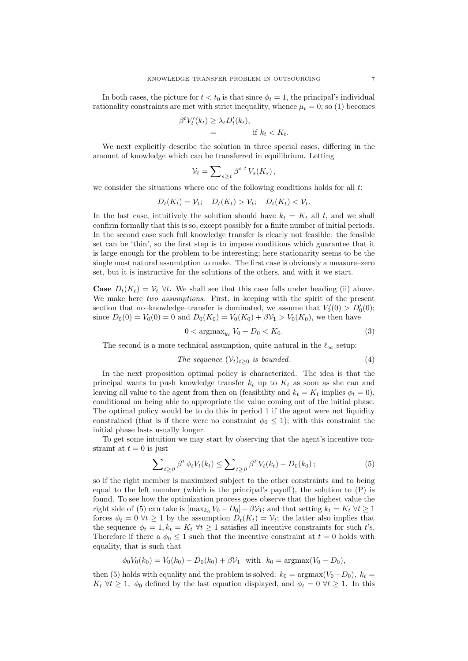In both cases, the picture for  $t < t_0$  is that since  $\phi_t = 1$ , the principal's individual rationality constraints are met with strict inequality, whence  $\mu_t = 0$ ; so (1) becomes

$$
\beta^t V'_t(k_t) \geq \lambda_t D'_t(k_t),
$$
  
= if  $k_t < K_t$ .

We next explicitly describe the solution in three special cases, differing in the amount of knowledge which can be transferred in equilibrium. Letting

$$
\mathcal{V}_t = \sum\nolimits_{s \geq t} \beta^{s-t} \, V_s(K_s) \,,
$$

we consider the situations where one of the following conditions holds for all  $t$ .

$$
D_t(K_t) = \mathcal{V}_t; \quad D_t(K_t) > \mathcal{V}_t; \quad D_t(K_t) < \mathcal{V}_t.
$$

In the last case, intuitively the solution should have  $k_t = K_t$  all t, and we shall confirm formally that this is so, except possibly for a finite number of initial periods. In the second case such full knowledge transfer is clearly not feasible: the feasible set can be 'thin', so the first step is to impose conditions which guarantee that it is large enough for the problem to be interesting; here stationarity seems to be the single most natural assumtption to make. The first case is obviously a measure–zero set, but it is instructive for the solutions of the others, and with it we start.

**Case**  $D_t(K_t) = V_t$   $\forall t$ . We shall see that this case falls under heading (ii) above. We make here two assumptions. First, in keeping with the spirit of the present section that no–knowledge–transfer is dominated, we assume that  $V_0'(0) > D'_0(0)$ ; since  $D_0(0) = V_0(0) = 0$  and  $D_0(K_0) = V_0(K_0) + \beta V_1 > V_0(K_0)$ , we then have

$$
0 < \operatorname{argmax}_{k_0} V_0 - D_0 < K_0. \tag{3}
$$

The second is a more technical assumption, quite natural in the  $\ell_{\infty}$  setup:

The sequence 
$$
(\mathcal{V}_t)_{t\geq 0}
$$
 is bounded. (4)

In the next proposition optimal policy is characterized. The idea is that the principal wants to push knowledge transfer  $k_t$  up to  $K_t$  as soon as she can and leaving all value to the agent from then on (feasibility and  $k_t = K_t$  implies  $\phi_t = 0$ ), conditional on being able to appropriate the value coming out of the initial phase. The optimal policy would be to do this in period 1 if the agent were not liquidity constrained (that is if there were no constraint  $\phi_0 \leq 1$ ); with this constraint the initial phase lasts usually longer.

To get some intuition we may start by observing that the agent's incentive constraint at  $t = 0$  is just

$$
\sum_{t\geq 0} \beta^t \phi_t V_t(k_t) \leq \sum_{t\geq 0} \beta^t V_t(k_t) - D_0(k_0); \tag{5}
$$

so if the right member is maximized subject to the other constraints and to being equal to the left member (which is the principal's payoff), the solution to (P) is found. To see how the optimization process goes observe that the highest value the right side of (5) can take is  $[\max_{k_0} V_0 - D_0] + \beta \mathcal{V}_1$ ; and that setting  $k_t = K_t \ \forall t \geq 1$ forces  $\phi_t = 0 \ \forall t \geq 1$  by the assumption  $D_t(K_t) = V_t$ ; the latter also implies that the sequence  $\phi_t = 1, k_t = K_t \ \forall t \geq 1$  satisfies all incentive constraints for such t's. Therefore if there a  $\phi_0 \leq 1$  such that the incentive constraint at  $t = 0$  holds with equality, that is such that

$$
\phi_0 V_0(k_0) = V_0(k_0) - D_0(k_0) + \beta \mathcal{V}_1 \text{ with } k_0 = \text{argmax}(V_0 - D_0),
$$

then (5) holds with equality and the problem is solved:  $k_0 = \text{argmax}(V_0 - D_0)$ ,  $k_t =$  $K_t \ \forall t \geq 1, \ \phi_0$  defined by the last equation displayed, and  $\phi_t = 0 \ \forall t \geq 1$ . In this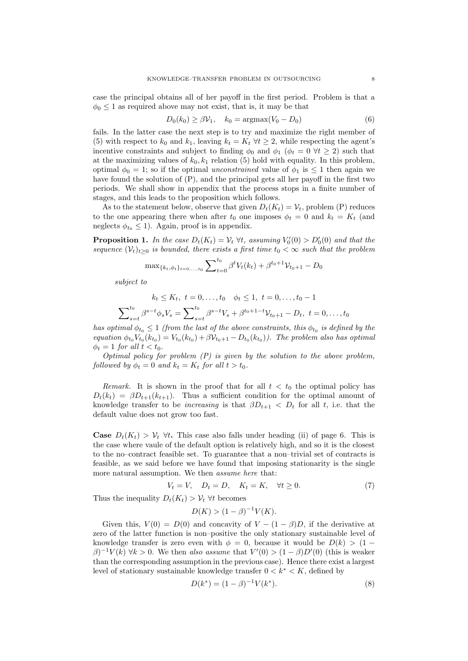case the principal obtains all of her payoff in the first period. Problem is that a  $\phi_0 \leq 1$  as required above may not exist, that is, it may be that

$$
D_0(k_0) \ge \beta \mathcal{V}_1, \quad k_0 = \operatorname{argmax}(V_0 - D_0) \tag{6}
$$

fails. In the latter case the next step is to try and maximize the right member of (5) with respect to  $k_0$  and  $k_1$ , leaving  $k_t = K_t \ \forall t \geq 2$ , while respecting the agent's incentive constraints and subject to finding  $\phi_0$  and  $\phi_1$  ( $\phi_t = 0 \ \forall t \geq 2$ ) such that at the maximizing values of  $k_0, k_1$  relation (5) hold with equality. In this problem, optimal  $\phi_0 = 1$ ; so if the optimal unconstrained value of  $\phi_1$  is  $\leq 1$  then again we have found the solution of (P), and the principal gets all her payoff in the first two periods. We shall show in appendix that the process stops in a finite number of stages, and this leads to the proposition which follows.

As to the statement below, observe that given  $D_t(K_t) = V_t$ , problem (P) reduces to the one appearing there when after  $t_0$  one imposes  $\phi_t = 0$  and  $k_t = K_t$  (and neglects  $\phi_{t_0} \leq 1$ ). Again, proof is in appendix.

**Proposition 1.** In the case  $D_t(K_t) = V_t \ \forall t$ , assuming  $V'_0(0) > D'_0(0)$  and that the sequence  $(\mathcal{V}_t)_{t>0}$  is bounded, there exists a first time  $t_0 < \infty$  such that the problem

$$
\max_{\{k_t, \phi_t\}_{t=0,\dots,t_0}} \sum_{t=0}^{t_0} \beta^t V_t(k_t) + \beta^{t_0+1} V_{t_0+1} - D_0
$$

subject to

$$
k_t \le K_t, \ t = 0, \dots, t_0 \quad \phi_t \le 1, \ t = 0, \dots, t_0 - 1
$$

$$
\sum_{s=t}^{t_0} \beta^{s-t} \phi_s V_s = \sum_{s=t}^{t_0} \beta^{s-t} V_s + \beta^{t_0+1-t} \mathcal{V}_{t_0+1} - D_t, \ t = 0, \dots, t_0
$$

has optimal  $\phi_{t_0} \leq 1$  (from the last of the above constraints, this  $\phi_{t_0}$  is defined by the equation  $\phi_{t_0} V_{t_0}(k_{t_0}) = V_{t_0}(k_{t_0}) + \beta V_{t_0+1} - D_{t_0}(k_{t_0})$ . The problem also has optimal  $\phi_t = 1$  for all  $t < t_0$ .

Optimal policy for problem  $(P)$  is given by the solution to the above problem, followed by  $\phi_t = 0$  and  $k_t = K_t$  for all  $t > t_0$ .

Remark. It is shown in the proof that for all  $t < t_0$  the optimal policy has  $D_t(k_t) = \beta D_{t+1}(k_{t+1})$ . Thus a sufficient condition for the optimal amount of knowledge transfer to be *increasing* is that  $\beta D_{t+1} < D_t$  for all t, i.e. that the default value does not grow too fast.

**Case**  $D_t(K_t) > V_t$   $\forall t$ . This case also falls under heading (ii) of page 6. This is the case where vaule of the default option is relatively high, and so it is the closest to the no–contract feasible set. To guarantee that a non–trivial set of contracts is feasible, as we said before we have found that imposing stationarity is the single more natural assumption. We then assume here that:

$$
V_t = V, \quad D_t = D, \quad K_t = K, \quad \forall t \ge 0. \tag{7}
$$

Thus the inequality  $D_t(K_t) > V_t$   $\forall t$  becomes

$$
D(K) > (1 - \beta)^{-1} V(K).
$$

Given this,  $V(0) = D(0)$  and concavity of  $V - (1 - \beta)D$ , if the derivative at zero of the latter function is non–positive the only stationary sustainable level of knowledge transfer is zero even with  $\phi = 0$ , because it would be  $D(k) > (1 (\beta)^{-1}V(k)$   $\forall k > 0$ . We then also assume that  $V'(0) > (1 - \beta)D'(0)$  (this is weaker than the corresponding assumption in the previous case). Hence there exist a largest level of stationary sustainable knowledge transfer  $0 < k^* < K$ , defined by

$$
D(k^*) = (1 - \beta)^{-1} V(k^*). \tag{8}
$$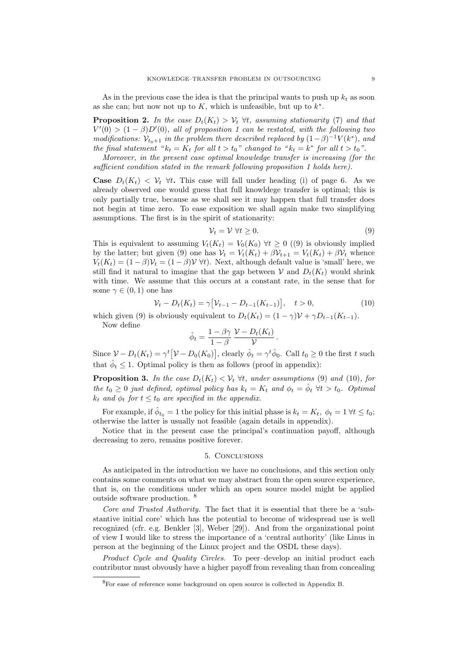As in the previous case the idea is that the principal wants to push up  $k_t$  as soon as she can; but now not up to  $K$ , which is unfeasible, but up to  $k^*$ .

**Proposition 2.** In the case  $D_t(K_t) > V_t \forall t$ , assuming stationarity (7) and that  $V'(0) > (1 - \beta)D'(0)$ , all of proposition 1 can be restated, with the following two modifications:  $\mathcal{V}_{t_0+1}$  in the problem there described replaced by  $(1-\beta)^{-1}V(k^*)$ , and the final statement " $k_t = K_t$  for all  $t > t_0$ " changed to " $k_t = k^*$  for all  $t > t_0$ ".

Moreover, in the present case optimal knowledge transfer is increasing (for the sufficient condition stated in the remark following proposition 1 holds here).

**Case**  $D_t(K_t) < \mathcal{V}_t$   $\forall t$ . This case will fall under heading (i) of page 6. As we already observed one would guess that full knowldege transfer is optimal; this is only partially true, because as we shall see it may happen that full transfer does not begin at time zero. To ease exposition we shall again make two simplifying assumptions. The first is in the spirit of stationarity:

$$
\mathcal{V}_t = \mathcal{V} \,\forall t \ge 0. \tag{9}
$$

This is equivalent to assuming  $V_t(K_t) = V_0(K_0) \ \forall t \geq 0 \ (9)$  is obviously implied by the latter; but given (9) one has  $V_t = V_t(K_t) + \beta V_{t+1} = V_t(K_t) + \beta V_t$  whence  $V_t(K_t) = (1 - \beta) V_t = (1 - \beta) V \forall t$ . Next, although default value is 'small' here, we still find it natural to imagine that the gap between V and  $D_t(K_t)$  would shrink with time. We assume that this occurs at a constant rate, in the sense that for some  $\gamma \in (0,1)$  one has

$$
\mathcal{V}_t - D_t(K_t) = \gamma \big[ \mathcal{V}_{t-1} - D_{t-1}(K_{t-1}) \big], \quad t > 0,
$$
\n(10)

which given (9) is obviously equivalent to  $D_t(K_t) = (1 - \gamma) \mathcal{V} + \gamma D_{t-1}(K_{t-1}).$ 

Now define

$$
\hat{\phi}_t = \frac{1 - \beta \gamma}{1 - \beta} \frac{\mathcal{V} - D_t(K_t)}{\mathcal{V}}.
$$

Since  $V - D_t(K_t) = \gamma^t [V - D_0(K_0)]$ , clearly  $\hat{\phi}_t = \gamma^t \hat{\phi}_0$ . Call  $t_0 \geq 0$  the first t such that  $\hat{\phi}_t \leq 1$ . Optimal policy is then as follows (proof in appendix):

**Proposition 3.** In the case  $D_t(K_t) < V_t$   $\forall t$ , under assumptions (9) and (10), for the  $t_0 \geq 0$  just defined, optimal policy has  $k_t = K_t$  and  $\phi_t = \hat{\phi}_t \ \forall t > t_0$ . Optimal  $k_t$  and  $\phi_t$  for  $t \leq t_0$  are specified in the appendix.

For example, if  $\hat{\phi}_{t_0} = 1$  the policy for this initial phase is  $k_t = K_t$ ,  $\phi_t = 1 \forall t \leq t_0$ ; otherwise the latter is usually not feasible (again details in appendix).

Notice that in the present case the principal's continuation payoff, although decreasing to zero, remains positive forever.

#### 5. Conclusions

As anticipated in the introduction we have no conclusions, and this section only contains some comments on what we may abstract from the open source experience, that is, on the conditions under which an open source model might be applied outside software production. <sup>8</sup>

Core and Trusted Authority. The fact that it is essential that there be a 'substantive initial core' which has the potential to become of widespread use is well recognized (cfr. e.g. Benkler [3], Weber [29]). And from the organizational point of view I would like to stress the importance of a 'central authority' (like Linus in person at the beginning of the Linux project and the OSDL these days).

Product Cycle and Quality Circles. To peer-develop an initial product each contributor must obvously have a higher payoff from revealing than from concealing

<sup>8</sup>For ease of reference some background on open source is collected in Appendix B.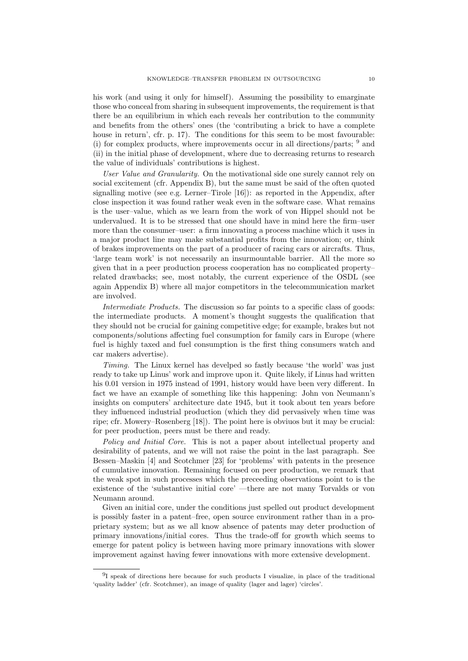his work (and using it only for himself). Assuming the possibility to emarginate those who conceal from sharing in subsequent improvements, the requirement is that there be an equilibrium in which each reveals her contribution to the community and benefits from the others' ones (the 'contributing a brick to have a complete house in return', cfr. p. 17). The conditions for this seem to be most favourable: (i) for complex products, where improvements occur in all directions/parts;  $9$  and (ii) in the initial phase of development, where due to decreasing returns to research the value of individuals' contributions is highest.

User Value and Granularity. On the motivational side one surely cannot rely on social excitement (cfr. Appendix B), but the same must be said of the often quoted signalling motive (see e.g. Lerner–Tirole [16]): as reported in the Appendix, after close inspection it was found rather weak even in the software case. What remains is the user–value, which as we learn from the work of von Hippel should not be undervalued. It is to be stressed that one should have in mind here the firm–user more than the consumer–user: a firm innovating a process machine which it uses in a major product line may make substantial profits from the innovation; or, think of brakes improvements on the part of a producer of racing cars or aircrafts. Thus, 'large team work' is not necessarily an insurmountable barrier. All the more so given that in a peer production process cooperation has no complicated property– related drawbacks; see, most notably, the current experience of the OSDL (see again Appendix B) where all major competitors in the telecommunication market are involved.

Intermediate Products. The discussion so far points to a specific class of goods: the intermediate products. A moment's thought suggests the qualification that they should not be crucial for gaining competitive edge; for example, brakes but not components/solutions affecting fuel consumption for family cars in Europe (where fuel is highly taxed and fuel consumption is the first thing consumers watch and car makers advertise).

Timing. The Linux kernel has develped so fastly because 'the world' was just ready to take up Linus' work and improve upon it. Quite likely, if Linus had written his 0.01 version in 1975 instead of 1991, history would have been very different. In fact we have an example of something like this happening: John von Neumann's insights on computers' architecture date 1945, but it took about ten years before they influenced industrial production (which they did pervasively when time was ripe; cfr. Mowery–Rosenberg [18]). The point here is obviuos but it may be crucial: for peer production, peers must be there and ready.

Policy and Initial Core. This is not a paper about intellectual property and desirability of patents, and we will not raise the point in the last paragraph. See Bessen–Maskin [4] and Scotchmer [23] for 'problems' with patents in the presence of cumulative innovation. Remaining focused on peer production, we remark that the weak spot in such processes which the preceeding observations point to is the existence of the 'substantive initial core' —there are not many Torvalds or von Neumann around.

Given an initial core, under the conditions just spelled out product development is possibly faster in a patent–free, open source environment rather than in a proprietary system; but as we all know absence of patents may deter production of primary innovations/initial cores. Thus the trade-off for growth which seems to emerge for patent policy is between having more primary innovations with slower improvement against having fewer innovations with more extensive development.

 $9I$  speak of directions here because for such products I visualize, in place of the traditional 'quality ladder' (cfr. Scotchmer), an image of quality (lager and lager) 'circles'.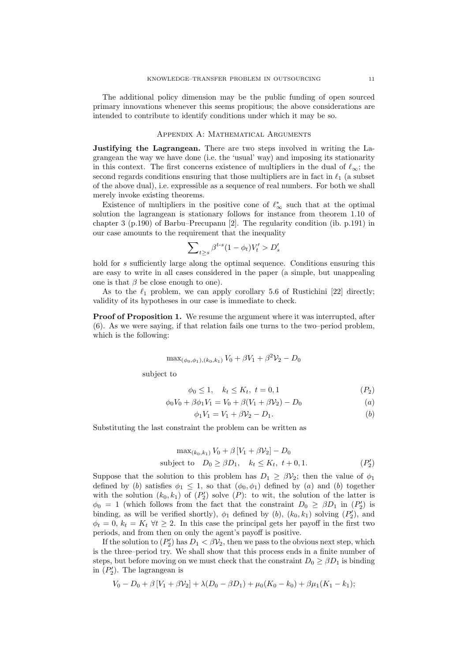The additional policy dimension may be the public funding of open sourced primary innovations whenever this seems propitious; the above considerations are intended to contribute to identify conditions under which it may be so.

## Appendix A: Mathematical Arguments

Justifying the Lagrangean. There are two steps involved in writing the Lagrangean the way we have done (i.e. the 'usual' way) and imposing its stationarity in this context. The first concerns existence of multipliers in the dual of  $\ell_{\infty}$ ; the second regards conditions ensuring that those multipliers are in fact in  $\ell_1$  (a subset of the above dual), i.e. expressible as a sequence of real numbers. For both we shall merely invoke existing theorems.

Existence of multipliers in the positive cone of  $\ell^*_{\infty}$  such that at the optimal solution the lagrangean is stationary follows for instance from theorem 1.10 of chapter 3 (p.190) of Barbu–Precupanu [2]. The regularity condition (ib. p.191) in our case amounts to the requirement that the inequality

$$
\sum\nolimits_{t\ge s}\beta^{t\text{-}s}(1-\phi_t)V'_t>D'_s
$$

hold for s sufficiently large along the optimal sequence. Conditions ensuring this are easy to write in all cases considered in the paper (a simple, but unappealing one is that  $\beta$  be close enough to one).

As to the  $\ell_1$  problem, we can apply corollary 5.6 of Rustichini [22] directly; validity of its hypotheses in our case is immediate to check.

Proof of Proposition 1. We resume the argument where it was interrupted, after (6). As we were saying, if that relation fails one turns to the two–period problem, which is the following:

$$
\max_{(\phi_0,\phi_1),(k_0,k_1)} V_0 + \beta V_1 + \beta^2 V_2 - D_0
$$

subject to

$$
\phi_0 \le 1, \quad k_t \le K_t, \ t = 0, 1 \tag{P_2}
$$

$$
\phi_0 V_0 + \beta \phi_1 V_1 = V_0 + \beta (V_1 + \beta V_2) - D_0 \tag{a}
$$

$$
\phi_1 V_1 = V_1 + \beta V_2 - D_1. \tag{b}
$$

Substituting the last constraint the problem can be written as

$$
\max_{(k_0, k_1)} V_0 + \beta [V_1 + \beta V_2] - D_0
$$
\nsubject to  $D_0 \geq \beta D_1$ ,  $k_t \leq K_t$ ,  $t + 0, 1$ . 
$$
(P'_2)
$$

Suppose that the solution to this problem has  $D_1 \geq \beta \mathcal{V}_2$ ; then the value of  $\phi_1$ defined by (b) satisfies  $\phi_1 \leq 1$ , so that  $(\phi_0, \phi_1)$  defined by (a) and (b) together with the solution  $(k_0, k_1)$  of  $(P'_2)$  solve  $(P)$ : to wit, the solution of the latter is  $\phi_0 = 1$  (which follows from the fact that the constraint  $D_0 \geq \beta D_1$  in  $(P'_2)$  is binding, as will be verified shortly),  $\phi_1$  defined by  $(b)$ ,  $(k_0, k_1)$  solving  $(P'_2)$ , and  $\phi_t = 0, k_t = K_t \ \forall t \geq 2$ . In this case the principal gets her payoff in the first two periods, and from then on only the agent's payoff is positive.

If the solution to  $(P_2')$  has  $D_1 < \beta V_2$ , then we pass to the obvious next step, which is the three–period try. We shall show that this process ends in a finite number of steps, but before moving on we must check that the constraint  $D_0 \geq \beta D_1$  is binding in  $(P'_2)$ . The lagrangean is

$$
V_0 - D_0 + \beta [V_1 + \beta V_2] + \lambda (D_0 - \beta D_1) + \mu_0 (K_0 - k_0) + \beta \mu_1 (K_1 - k_1);
$$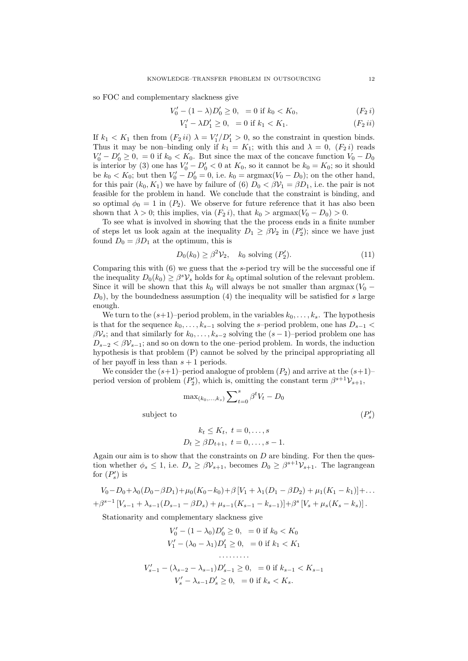so FOC and complementary slackness give

$$
V_0' - (1 - \lambda)D_0' \ge 0, = 0 \text{ if } k_0 < K_0,\tag{F_2 i}
$$

$$
V_1' - \lambda D_1' \ge 0, = 0 \text{ if } k_1 < K_1. \tag{F_2 \, ii}
$$

If  $k_1 < K_1$  then from  $(F_2 ii) \lambda = V'_1/D'_1 > 0$ , so the constraint in question binds. Thus it may be non-binding only if  $k_1 = K_1$ ; with this and  $\lambda = 0$ ,  $(F_2 i)$  reads  $V_0' - D_0' \ge 0$ , = 0 if  $k_0 < K_0$ . But since the max of the concave function  $V_0 - D_0$ is interior by (3) one has  $V'_0 - D'_0 < 0$  at  $K_0$ , so it cannot be  $k_0 = K_0$ ; so it should be  $k_0 < K_0$ ; but then  $V'_0 - D'_0 = 0$ , i.e.  $k_0 = \text{argmax}(V_0 - D_0)$ ; on the other hand, for this pair  $(k_0, K_1)$  we have by failure of (6)  $D_0 < \beta V_1 = \beta D_1$ , i.e. the pair is not feasible for the problem in hand. We conclude that the constraint is binding, and so optimal  $\phi_0 = 1$  in  $(P_2)$ . We observe for future reference that it has also been shown that  $\lambda > 0$ ; this implies, via  $(F_2 i)$ , that  $k_0 > \text{argmax}(V_0 - D_0) > 0$ .

To see what is involved in showing that the the process ends in a finite number of steps let us look again at the inequality  $D_1 \geq \beta V_2$  in  $(P'_2)$ ; since we have just found  $D_0 = \beta D_1$  at the optimum, this is

$$
D_0(k_0) \ge \beta^2 \mathcal{V}_2, \quad k_0 \text{ solving } (P'_2). \tag{11}
$$

Comparing this with (6) we guess that the s-period try will be the successful one if the inequality  $D_0(k_0) \geq \beta^s \mathcal{V}_s$  holds for  $k_0$  optimal solution of the relevant problem. Since it will be shown that this  $k_0$  will always be not smaller than argmax ( $V_0$  −  $D_0$ , by the boundedness assumption (4) the inequality will be satisfied for s large enough.

We turn to the  $(s+1)$ –period problem, in the variables  $k_0, \ldots, k_s$ . The hypothesis is that for the sequence  $k_0, \ldots, k_{s-1}$  solving the s–period problem, one has  $D_{s-1}$  <  $\beta V_s$ ; and that similarly for  $k_0, \ldots, k_{s-2}$  solving the  $(s-1)$ –period problem one has  $D_{s-2} < \beta V_{s-1}$ ; and so on down to the one–period problem. In words, the induction hypothesis is that problem (P) cannot be solved by the principal appropriating all of her payoff in less than  $s + 1$  periods.

We consider the  $(s+1)$ –period analogue of problem  $(P_2)$  and arrive at the  $(s+1)$ – period version of problem  $(P_2)$ , which is, omitting the constant term  $\beta^{s+1} \mathcal{V}_{s+1}$ ,

$$
\label{eq:1} \max_{(k_0,\ldots,k_s)} \sum\nolimits_{t=0}^s \beta^t V_t - D_0
$$
   
subject to 
$$
(P_s')
$$

$$
k_t \le K_t, t = 0,..., s
$$
  
 $D_t \ge \beta D_{t+1}, t = 0,..., s-1.$ 

Again our aim is to show that the constraints on  $D$  are binding. For then the question whether  $\phi_s \leq 1$ , i.e.  $D_s \geq \beta V_{s+1}$ , becomes  $D_0 \geq \beta^{s+1} V_{s+1}$ . The lagrangean for  $(P'_s)$  is

$$
V_0 - D_0 + \lambda_0 (D_0 - \beta D_1) + \mu_0 (K_0 - k_0) + \beta [V_1 + \lambda_1 (D_1 - \beta D_2) + \mu_1 (K_1 - k_1)] + \dots
$$
  
+
$$
\beta^{s-1} [V_{s-1} + \lambda_{s-1} (D_{s-1} - \beta D_s) + \mu_{s-1} (K_{s-1} - k_{s-1})] + \beta^s [V_s + \mu_s (K_s - k_s)].
$$

Stationarity and complementary slackness give

$$
V'_0 - (1 - \lambda_0)D'_0 \ge 0, = 0 \text{ if } k_0 < K_0
$$
\n
$$
V'_1 - (\lambda_0 - \lambda_1)D'_1 \ge 0, = 0 \text{ if } k_1 < K_1
$$
\n
$$
\dots
$$
\n
$$
V'_{s-1} - (\lambda_{s-2} - \lambda_{s-1})D'_{s-1} \ge 0, = 0 \text{ if } k_{s-1} < K_{s-1}
$$
\n
$$
V'_s - \lambda_{s-1}D'_s \ge 0, = 0 \text{ if } k_s < K_s.
$$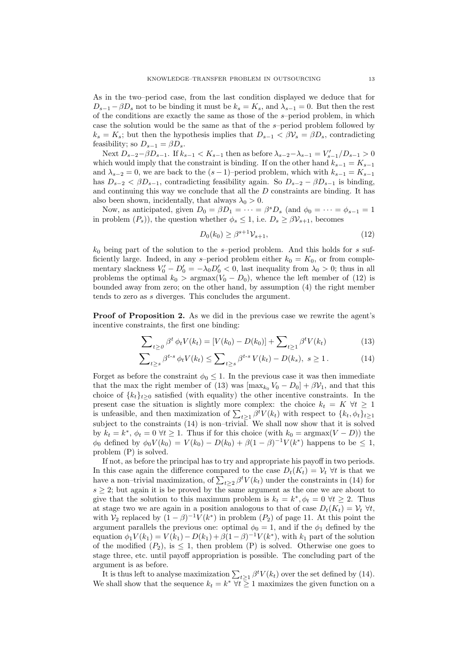As in the two–period case, from the last condition displayed we deduce that for  $D_{s-1} - \beta D_s$  not to be binding it must be  $k_s = K_s$ , and  $\lambda_{s-1} = 0$ . But then the rest of the conditions are exactly the same as those of the s–period problem, in which case the solution would be the same as that of the s–period problem followed by  $k_s = K_s$ ; but then the hypothesis implies that  $D_{s-1} < \beta \mathcal{V}_s = \beta D_s$ , contradicting feasibility; so  $D_{s-1} = \beta D_s$ .

Next  $D_{s-2}-\beta D_{s-1}$ . If  $k_{s-1} < K_{s-1}$  then as before  $\lambda_{s-2}-\lambda_{s-1} = V'_{s-1}/D_{s-1} > 0$ which would imply that the constraint is binding. If on the other hand  $k_{s-1} = K_{s-1}$ and  $\lambda_{s-2} = 0$ , we are back to the  $(s-1)$ –period problem, which with  $k_{s-1} = K_{s-1}$ has  $D_{s-2} < \beta D_{s-1}$ , contradicting feasibility again. So  $D_{s-2} - \beta D_{s-1}$  is binding, and continuing this way we conclude that all the D constraints are binding. It has also been shown, incidentally, that always  $\lambda_0 > 0$ .

Now, as anticipated, given  $D_0 = \beta D_1 = \cdots = \beta^s D_s$  (and  $\phi_0 = \cdots = \phi_{s-1} = 1$ in problem  $(P_s)$ , the question whether  $\phi_s \leq 1$ , i.e.  $D_s \geq \beta V_{s+1}$ , becomes

$$
D_0(k_0) \ge \beta^{s+1} \mathcal{V}_{s+1},
$$
\n(12)

 $k_0$  being part of the solution to the s–period problem. And this holds for s sufficiently large. Indeed, in any s-period problem either  $k_0 = K_0$ , or from complementary slackness  $V_0' - D_0' = -\lambda_0 D_0' < 0$ , last inequality from  $\lambda_0 > 0$ ; thus in all problems the optimal  $k_0 > \text{argmax}(V_0 - D_0)$ , whence the left member of (12) is bounded away from zero; on the other hand, by assumption (4) the right member tends to zero as s diverges. This concludes the argument.

Proof of Proposition 2. As we did in the previous case we rewrite the agent's incentive constraints, the first one binding:

$$
\sum_{t \ge 0} \beta^t \phi_t V(k_t) = [V(k_0) - D(k_0)] + \sum_{t \ge 1} \beta^t V(k_t)
$$
\n(13)

$$
\sum_{t\geq s} \beta^{t-s} \phi_t V(k_t) \leq \sum_{t\geq s} \beta^{t-s} V(k_t) - D(k_s), \ s \geq 1. \tag{14}
$$

Forget as before the constraint  $\phi_0 \leq 1$ . In the previous case it was then immediate that the max the right member of (13) was  $[\max_{k_0} V_0 - D_0] + \beta V_1$ , and that this choice of  $\{k_t\}_{t\geq 0}$  satisfied (with equality) the other incentive constraints. In the present case the situation is slightly more complex: the choice  $k_t = K \ \forall t \geq 1$ is unfeasible, and then maximization of  $\sum_{t\geq 1} \beta^t V(k_t)$  with respect to  $\{k_t, \phi_t\}_{t\geq 1}$ subject to the constraints (14) is non–trivial. We shall now show that it is solved by  $k_t = k^*, \phi_t = 0 \ \forall t \geq 1$ . Thus if for this choice (with  $k_0 = \text{argmax}(V - D)$ ) the  $\phi_0$  defined by  $\phi_0 V(k_0) = V(k_0) - D(k_0) + \beta (1 - \beta)^{-1} V(k^*)$  happens to be  $\leq 1$ , problem (P) is solved.

If not, as before the principal has to try and appropriate his payoff in two periods. In this case again the difference compared to the case  $D_t(K_t) = V_t \ \forall t$  is that we have a non–trivial maximization, of  $\sum_{t\geq 2} \beta^t V(k_t)$  under the constraints in (14) for  $s \geq 2$ ; but again it is be proved by the same argument as the one we are about to give that the solution to this maximum problem is  $k_t = k^*, \phi_t = 0 \ \forall t \geq 2$ . Thus at stage two we are again in a position analogous to that of case  $D_t(K_t) = V_t \,\forall t$ , with  $\mathcal{V}_2$  replaced by  $(1 - \beta)^{-1}V(k^*)$  in problem  $(P_2)$  of page 11. At this point the argument parallels the previous one: optimal  $\phi_0 = 1$ , and if the  $\phi_1$  defined by the equation  $\phi_1 V(k_1) = V(k_1) - D(k_1) + \beta (1 - \beta)^{-1} V(k^*)$ , with  $k_1$  part of the solution of the modified  $(P_2)$ , is  $\leq 1$ , then problem  $(P)$  is solved. Otherwise one goes to stage three, etc. until payoff appropriation is possible. The concluding part of the argument is as before.

It is thus left to analyse maximization  $\sum_{t\geq 1} \beta^t V(k_t)$  over the set defined by (14). We shall show that the sequence  $k_t = k^* \ \forall i \geq 1$  maximizes the given function on a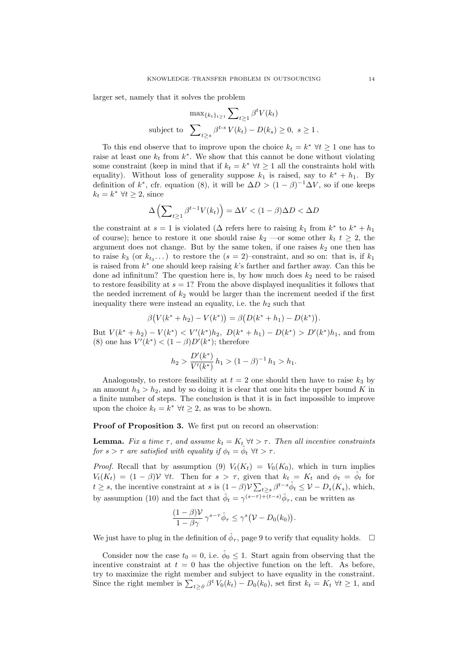larger set, namely that it solves the problem

$$
\max_{\{k_t\}_{t\geq 1}} \sum_{t\geq 1} \beta^t V(k_t)
$$
  
subject to 
$$
\sum_{t\geq s} \beta^{t-s} V(k_t) - D(k_s) \geq 0, \ s \geq 1.
$$

To this end observe that to improve upon the choice  $k_t = k^* \ \forall t \geq 1$  one has to raise at least one  $k_t$  from  $k^*$ . We show that this cannot be done without violating some constraint (keep in mind that if  $k_t = k^*$   $\forall t \geq 1$  all the constraints hold with equality). Without loss of generality suppose  $k_1$  is raised, say to  $k^* + h_1$ . By definition of  $k^*$ , cfr. equation (8), it will be  $\Delta D > (1 - \beta)^{-1} \Delta V$ , so if one keeps  $k_t = k^* \ \forall t \geq 2$ , since

$$
\Delta \left( \sum_{t \ge 1} \beta^{t-1} V(k_t) \right) = \Delta V < (1 - \beta) \Delta D < \Delta D
$$

the constraint at  $s = 1$  is violated ( $\Delta$  refers here to raising  $k_1$  from  $k^*$  to  $k^* + h_1$ of course); hence to restore it one should raise  $k_2$  —or some other  $k_t$   $t \geq 2$ , the argument does not change. But by the same token, if one raises  $k_2$  one then has to raise  $k_3$  (or  $k_{t_3}$ ...) to restore the  $(s = 2)$ -constraint, and so on: that is, if  $k_1$ is raised from  $k^*$  one should keep raising  $k$ 's farther and farther away. Can this be done ad infinitum? The question here is, by how much does  $k_2$  need to be raised to restore feasibility at  $s = 1$ ? From the above displayed inequalities it follows that the needed increment of  $k_2$  would be larger than the increment needed if the first inequality there were instead an equality, i.e. the  $h_2$  such that

$$
\beta(V(k^* + h_2) - V(k^*)) = \beta(D(k^* + h_1) - D(k^*)).
$$

But  $V(k^* + h_2) - V(k^*) < V'(k^*)h_2$ ,  $D(k^* + h_1) - D(k^*) > D'(k^*)h_1$ , and from (8) one has  $V'(k^*) < (1 - \beta)D'(k^*)$ ; therefore

$$
h_2 > \frac{D'(k^*)}{V'(k^*)} h_1 > (1 - \beta)^{-1} h_1 > h_1.
$$

Analogously, to restore feasibility at  $t = 2$  one should then have to raise  $k_3$  by an amount  $h_3 > h_2$ , and by so doing it is clear that one hits the upper bound K in a finite number of steps. The conclusion is that it is in fact impossible to improve upon the choice  $k_t = k^* \ \forall t \geq 2$ , as was to be shown.

Proof of Proposition 3. We first put on record an observation:

**Lemma.** Fix a time  $\tau$ , and assume  $k_t = K_t \ \forall t > \tau$ . Then all incentive constraints for  $s > \tau$  are satisfied with equality if  $\phi_t = \hat{\phi}_t \ \forall t > \tau$ .

*Proof.* Recall that by assumption (9)  $V_t(K_t) = V_0(K_0)$ , which in turn implies  $V_t(K_t) = (1 - \beta) \mathcal{V}$   $\forall t$ . Then for  $s > \tau$ , given that  $k_t = K_t$  and  $\phi_t = \hat{\phi}_t$  for  $t \geq s$ , the incentive constraint at s is  $(1 - \beta) \mathcal{V} \sum_{t \geq s} \beta^{t-s} \hat{\phi}_t \leq \mathcal{V} - D_s(K_s)$ , which, by assumption (10) and the fact that  $\hat{\phi}_t = \gamma^{(s-\tau)+\bar{(t-s)}} \hat{\phi}_\tau$ , can be written as

$$
\frac{(1-\beta)\mathcal{V}}{1-\beta\gamma}\,\gamma^{s-\tau}\hat{\phi}_{\tau}\leq \gamma^s\big(\mathcal{V}-D_0(k_0)\big).
$$

We just have to plug in the definition of  $\hat{\phi}_{\tau}$ , page 9 to verify that equality holds.  $\Box$ 

Consider now the case  $t_0 = 0$ , i.e.  $\hat{\phi}_0 \leq 1$ . Start again from observing that the incentive constraint at  $t = 0$  has the objective function on the left. As before, try to maximize the right member and subject to have equality in the constraint. Since the right member is  $\sum_{t\geq 0} \beta^t V_0(k_t) - D_0(k_0)$ , set first  $k_t = K_t \ \forall t \geq 1$ , and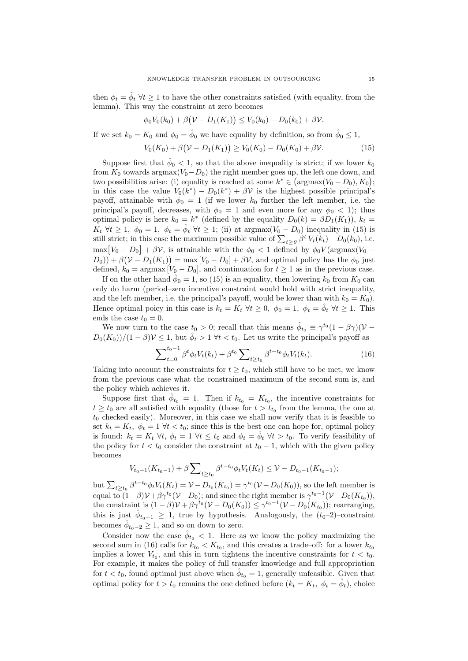then  $\phi_t = \hat{\phi}_t \,\forall t \geq 1$  to have the other constraints satisfied (with equality, from the lemma). This way the constraint at zero becomes

$$
\phi_0 V_0(k_0) + \beta (\mathcal{V} - D_1(K_1)) \leq V_0(k_0) - D_0(k_0) + \beta \mathcal{V}.
$$

If we set  $k_0 = K_0$  and  $\phi_0 = \hat{\phi}_0$  we have equality by definition, so from  $\hat{\phi}_0 \leq 1$ ,

$$
V_0(K_0) + \beta(\mathcal{V} - D_1(K_1)) \ge V_0(K_0) - D_0(K_0) + \beta \mathcal{V}.
$$
 (15)

Suppose first that  $\hat{\phi}_0 < 1$ , so that the above inequality is strict; if we lower  $k_0$ from  $K_0$  towards argmax( $V_0-D_0$ ) the right member goes up, the left one down, and two possibilities arise: (i) equality is reached at some  $k^* \in (\text{argmax}(V_0 - D_0), K_0);$ in this case the value  $V_0(k^*) - D_0(k^*) + \beta \mathcal{V}$  is the highest possible principal's payoff, attainable with  $\phi_0 = 1$  (if we lower  $k_0$  further the left member, i.e. the principal's payoff, decreases, with  $\phi_0 = 1$  and even more for any  $\phi_0 < 1$ ; thus optimal policy is here  $k_0 = k^*$  (defined by the equality  $D_0(k) = \beta D_1(K_1)$ ),  $k_t =$  $K_t \ \forall t \geq 1, \ \phi_0 = 1, \ \phi_t = \hat{\phi}_t \ \forall t \geq 1;$  (ii) at  $\arg \max(V_0 - D_0)$  inequality in (15) is still strict; in this case the maximum possible value of  $\sum_{t\geq 0} \beta^t V_t(k_t) - D_0(k_0)$ , i.e.  $\max[V_0 - D_0] + \beta \mathcal{V}$ , is attainable with the  $\phi_0 < 1$  defined by  $\phi_0 V(\text{argmax}(V_0 (D_0)$ ) +  $\beta(\mathcal{V} - D_1(K_1)) = \max[V_0 - D_0] + \beta \mathcal{V}$ , and optimal policy has the  $\phi_0$  just defined,  $k_0 = \text{argmax} [V_0 - D_0]$ , and continuation for  $t \ge 1$  as in the previous case.

If on the other hand  $\hat{\phi}_0 = 1$ , so (15) is an equality, then lowering  $k_0$  from  $K_0$  can only do harm (period–zero incentive constraint would hold with strict inequality, and the left member, i.e. the principal's payoff, would be lower than with  $k_0 = K_0$ ). Hence optimal poicy in this case is  $k_t = K_t \ \forall t \geq 0, \ \phi_0 = 1, \ \phi_t = \hat{\phi}_t \ \forall t \geq 1$ . This ends the case  $t_0 = 0$ .

We now turn to the case  $t_0 > 0$ ; recall that this means  $\hat{\phi}_{t_0} \equiv \gamma^{t_0} (1 - \beta \gamma) (\mathcal{V} D_0(K_0)/((1-\beta)\mathcal{V} \leq 1$ , but  $\hat{\phi}_t > 1 \ \forall t < t_0$ . Let us write the principal's payoff as

$$
\sum_{t=0}^{t_0-1} \beta^t \phi_t V_t(k_t) + \beta^{t_0} \sum_{t \ge t_0} \beta^{t-t_0} \phi_t V_t(k_t).
$$
 (16)

Taking into account the constraints for  $t \geq t_0$ , which still have to be met, we know from the previous case what the constrained maximum of the second sum is, and the policy which achieves it.

Suppose first that  $\hat{\phi}_{t_0} = 1$ . Then if  $k_{t_0} = K_{t_0}$ , the incentive constraints for  $t \geq t_0$  are all satisfied with equality (those for  $t > t_{t_0}$  from the lemma, the one at  $t_0$  checked easily). Moreover, in this case we shall now verify that it is feasible to set  $k_t = K_t$ ,  $\phi_t = 1 \ \forall t \lt t_0$ ; since this is the best one can hope for, optimal policy is found:  $k_t = K_t \ \forall t, \ \phi_t = 1 \ \forall t \leq t_0 \text{ and } \phi_t = \hat{\phi}_t \ \forall t > t_0.$  To verify feasibility of the policy for  $t < t_0$  consider the constraint at  $t_0 - 1$ , which with the given policy becomes

$$
V_{t_0-1}(K_{t_0-1})+\beta\sum\nolimits_{t\geq t_0}\beta^{t-t_0}\phi_tV_t(K_t)\leq \mathcal{V}-D_{t_0-1}(K_{t_0-1});
$$

but  $\sum_{t\geq t_0} \beta^{t-t_0} \phi_t V_t(K_t) = \mathcal{V} - D_{t_0}(K_{t_0}) = \gamma^{t_0}(\mathcal{V} - D_0(K_0)),$  so the left member is equal to  $(1-\beta)\mathcal{V}+\beta\gamma^{t_0}(\mathcal{V}-D_0)$ ; and since the right member is  $\gamma^{t_0-1}(\mathcal{V}-D_0(K_{t_0}))$ , the constraint is  $(1 - \beta)\mathcal{V} + \beta \gamma^{t_0}(\mathcal{V} - D_0(K_0)) \leq \gamma^{t_0 - 1}(\mathcal{V} - D_0(K_{t_0}))$ ; rearranging, this is just  $\hat{\phi}_{t_0-1} \geq 1$ , true by hypothesis. Analogously, the  $(t_0-2)$ -constraint becomes  $\hat{\phi}_{t_0-2} \geq 1$ , and so on down to zero.

Consider now the case  $\hat{\phi}_{t_0} < 1$ . Here as we know the policy maximizing the second sum in (16) calls for  $k_{t_0} < K_{t_0}$ , and this creates a trade-off: for a lower  $k_{t_0}$ implies a lower  $V_{t_0}$ , and this in turn tightens the incentive constraints for  $t < t_0$ . For example, it makes the policy of full transfer knowledge and full appropriation for  $t < t_0$ , found optimal just above when  $\hat{\phi}_{t_0} = 1$ , generally unfeasible. Given that optimal policy for  $t > t_0$  remains the one defined before  $(k_t = K_t, \phi_t = \hat{\phi}_t)$ , choice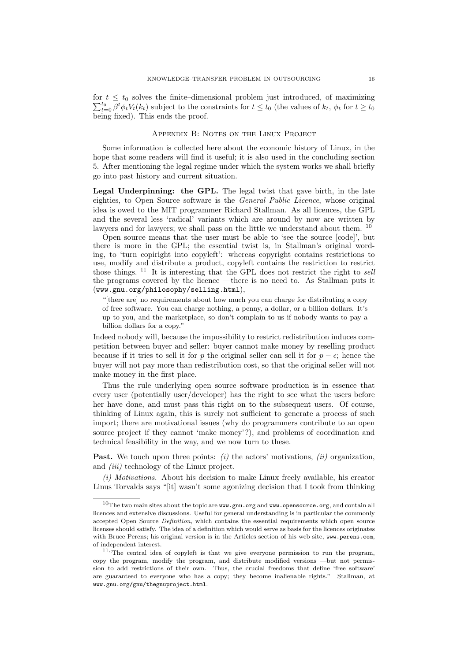for  $t \leq t_0$  solves the finite-dimensional problem just introduced, of maximizing  $\sum_{t=0}^{t_0} \beta^t \phi_t V_t(k_t)$  subject to the constraints for  $t \le t_0$  (the values of  $k_t$ ,  $\phi_t$  for  $t \ge t_0$ being fixed). This ends the proof.

## Appendix B: Notes on the Linux Project

Some information is collected here about the economic history of Linux, in the hope that some readers will find it useful; it is also used in the concluding section 5. After mentioning the legal regime under which the system works we shall briefly go into past history and current situation.

Legal Underpinning: the GPL. The legal twist that gave birth, in the late eighties, to Open Source software is the General Public Licence, whose original idea is owed to the MIT programmer Richard Stallman. As all licences, the GPL and the several less 'radical' variants which are around by now are written by lawyers and for lawyers; we shall pass on the little we understand about them.  $^{10}$ 

Open source means that the user must be able to 'see the source [code]', but there is more in the GPL; the essential twist is, in Stallman's original wording, to 'turn copiright into copyleft': whereas copyright contains restrictions to use, modify and distribute a product, copyleft contains the restriction to restrict those things. <sup>11</sup> It is interesting that the GPL does not restrict the right to sell the programs covered by the licence —there is no need to. As Stallman puts it (www.gnu.org/philosophy/selling.html),

"[there are] no requirements about how much you can charge for distributing a copy of free software. You can charge nothing, a penny, a dollar, or a billion dollars. It's up to you, and the marketplace, so don't complain to us if nobody wants to pay a billion dollars for a copy."

Indeed nobody will, because the impossibility to restrict redistribution induces competition between buyer and seller: buyer cannot make money by reselling product because if it tries to sell it for p the original seller can sell it for  $p - \epsilon$ ; hence the buyer will not pay more than redistribution cost, so that the original seller will not make money in the first place.

Thus the rule underlying open source software production is in essence that every user (potentially user/developer) has the right to see what the users before her have done, and must pass this right on to the subsequent users. Of course, thinking of Linux again, this is surely not sufficient to generate a process of such import; there are motivational issues (why do programmers contribute to an open source project if they cannot 'make money'?), and problems of coordination and technical feasibility in the way, and we now turn to these.

**Past.** We touch upon three points:  $(i)$  the actors' motivations,  $(ii)$  organization, and *(iii)* technology of the Linux project.

(i) Motivations. About his decision to make Linux freely available, his creator Linus Torvalds says "[it] wasn't some agonizing decision that I took from thinking

 $10$ The two main sites about the topic are www.gnu.org and www.opensource.org, and contain all licences and extensive discussions. Useful for general understanding is in particular the commonly accepted Open Source Definition, which contains the essential requirements which open source licenses should satisfy. The idea of a definition which would serve as basis for the licences originates with Bruce Perens; his original version is in the Articles section of his web site, www.perens.com, of independent interest.

 $11$ "The central idea of copyleft is that we give everyone permission to run the program, copy the program, modify the program, and distribute modified versions —but not permission to add restrictions of their own. Thus, the crucial freedoms that define 'free software' are guaranteed to everyone who has a copy; they become inalienable rights." Stallman, at www.gnu.org/gnu/thegnuproject.html.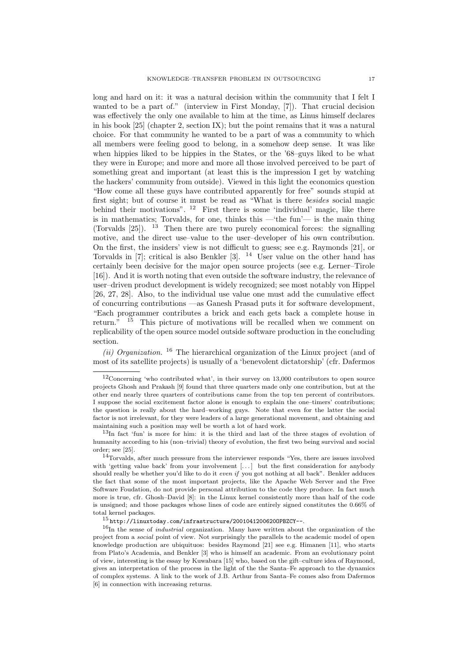long and hard on it: it was a natural decision within the community that I felt I wanted to be a part of." (interview in First Monday, [7]). That crucial decision was effectively the only one available to him at the time, as Linus himself declares in his book [25] (chapter 2, section IX); but the point remains that it was a natural choice. For that community he wanted to be a part of was a community to which all members were feeling good to belong, in a somehow deep sense. It was like when hippies liked to be hippies in the States, or the '68–guys liked to be what they were in Europe; and more and more all those involved perceived to be part of something great and important (at least this is the impression I get by watching the hackers' community from outside). Viewed in this light the economics question "How come all these guys have contributed apparently for free" sounds stupid at first sight; but of course it must be read as "What is there besides social magic behind their motivations".  $12$  First there is some 'individual' magic, like there is in mathematics; Torvalds, for one, thinks this —'the fun'— is the main thing (Torvalds  $[25]$ ). <sup>13</sup> Then there are two purely economical forces: the signalling motive, and the direct use–value to the user–developer of his own contribution. On the first, the insiders' view is not difficult to guess; see e.g. Raymonds [21], or Torvalds in [7]; critical is also Benkler [3]. <sup>14</sup> User value on the other hand has certainly been decisive for the major open source projects (see e.g. Lerner–Tirole [16]). And it is worth noting that even outside the software industry, the relevance of user–driven product development is widely recognized; see most notably von Hippel [26, 27, 28]. Also, to the individual use value one must add the cumulative effect of concurring contributions —as Ganesh Prasad puts it for software development, "Each programmer contributes a brick and each gets back a complete house in return. $\frac{15}{15}$  This picture of motivations will be recalled when we comment on replicability of the open source model outside software production in the concluding section.

(ii) Organization.<sup>16</sup> The hierarchical organization of the Linux project (and of most of its satellite projects) is usually of a 'benevolent dictatorship' (cfr. Dafermos

 $12$ Concerning 'who contributed what', in their survey on 13,000 contributors to open source projects Ghosh and Prakash [9] found that three quarters made only one contribution, but at the other end nearly three quarters of contributions came from the top ten percent of contributors. I suppose the social excitement factor alone is enough to explain the one–timers' contributions; the question is really about the hard–working guys. Note that even for the latter the social factor is not irrelevant, for they were leaders of a large generational movement, and obtaining and maintaining such a position may well be worth a lot of hard work.

 $13$ In fact 'fun' is more for him: it is the third and last of the three stages of evolution of humanity according to his (non–trivial) theory of evolution, the first two being survival and social order; see [25].

<sup>&</sup>lt;sup>14</sup>Torvalds, after much pressure from the interviewer responds "Yes, there are issues involved with 'getting value back' from your involvement [...] but the first consideration for anybody should really be whether you'd like to do it even if you got nothing at all back". Benkler adduces the fact that some of the most important projects, like the Apache Web Server and the Free Software Foudation, do not provide personal attribution to the code they produce. In fact much more is true, cfr. Ghosh–David [8]: in the Linux kernel consistently more than half of the code is unsigned; and those packages whose lines of code are entirely signed constitutes the 0.66% of total kernel packages.

 $^{15}$ http://linuxtoday.com/infrastructure/20010412006200PBZCY--.

 $16$ In the sense of *industrial* organization. Many have written about the organization of the project from a social point of view. Not surprisingly the parallels to the academic model of open knowledge production are ubiquituos: besides Raymond [21] see e.g. Himanen [11], who starts from Plato's Academia, and Benkler [3] who is himself an academic. From an evolutionary point of view, interesting is the essay by Kuwabara [15] who, based on the gift–culture idea of Raymond, gives an interpretation of the process in the light of the the Santa–Fe approach to the dynamics of complex systems. A link to the work of J.B. Arthur from Santa–Fe comes also from Dafermos [6] in connection with increasing returns.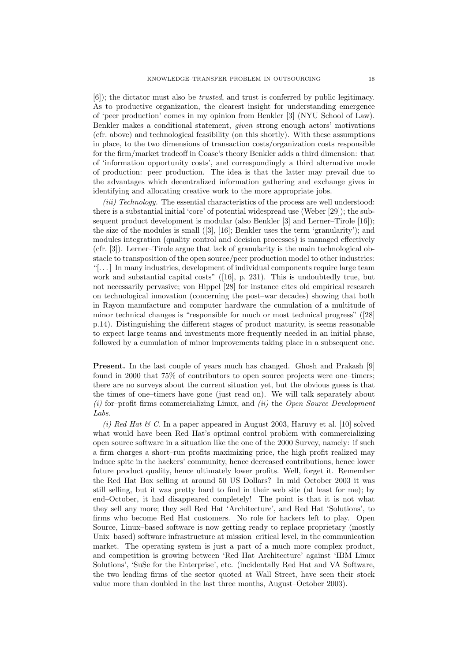[6]); the dictator must also be trusted, and trust is conferred by public legitimacy. As to productive organization, the clearest insight for understanding emergence of 'peer production' comes in my opinion from Benkler [3] (NYU School of Law). Benkler makes a conditional statement, given strong enough actors' motivations (cfr. above) and technological feasibility (on this shortly). With these assumptions in place, to the two dimensions of transaction costs/organization costs responsible for the firm/market tradeoff in Coase's theory Benkler adds a third dimension: that of 'information opportunity costs', and correspondingly a third alternative mode of production: peer production. The idea is that the latter may prevail due to the advantages which decentralized information gathering and exchange gives in identifying and allocating creative work to the more appropriate jobs.

(*iii*) Technology. The essential characteristics of the process are well understood: there is a substantial initial 'core' of potential widespread use (Weber [29]); the subsequent product development is modular (also Benkler [3] and Lerner–Tirole [16]); the size of the modules is small ([3], [16]; Benkler uses the term 'granularity'); and modules integration (quality control and decision processes) is managed effectively (cfr. [3]). Lerner–Tirole argue that lack of granularity is the main technological obstacle to transposition of the open source/peer production model to other industries: "[. . . ] In many industries, development of individual components require large team work and substantial capital costs" ([16], p. 231). This is undoubtedly true, but not necessarily pervasive; von Hippel [28] for instance cites old empirical research on technological innovation (concerning the post–war decades) showing that both in Rayon manufacture and computer hardware the cumulation of a multitude of minor technical changes is "responsible for much or most technical progress" ([28] p.14). Distinguishing the different stages of product maturity, is seems reasonable to expect large teams and investments more frequently needed in an initial phase, followed by a cumulation of minor improvements taking place in a subsequent one.

Present. In the last couple of years much has changed. Ghosh and Prakash [9] found in 2000 that 75% of contributors to open source projects were one–timers; there are no surveys about the current situation yet, but the obvious guess is that the times of one–timers have gone (just read on). We will talk separately about  $(i)$  for–profit firms commercializing Linux, and  $(ii)$  the Open Source Development Labs.

(i) Red Hat  $\mathcal C$ . In a paper appeared in August 2003, Haruvy et al. [10] solved what would have been Red Hat's optimal control problem with commercializing open source software in a situation like the one of the 2000 Survey, namely: if such a firm charges a short–run profits maximizing price, the high profit realized may induce spite in the hackers' community, hence decreased contributions, hence lower future product quality, hence ultimately lower profits. Well, forget it. Remember the Red Hat Box selling at around 50 US Dollars? In mid–October 2003 it was still selling, but it was pretty hard to find in their web site (at least for me); by end–October, it had disappeared completely! The point is that it is not what they sell any more; they sell Red Hat 'Architecture', and Red Hat 'Solutions', to firms who become Red Hat customers. No role for hackers left to play. Open Source, Linux–based software is now getting ready to replace proprietary (mostly Unix–based) software infrastructure at mission–critical level, in the communication market. The operating system is just a part of a much more complex product, and competition is growing between 'Red Hat Architecture' against 'IBM Linux Solutions', 'SuSe for the Enterprise', etc. (incidentally Red Hat and VA Software, the two leading firms of the sector quoted at Wall Street, have seen their stock value more than doubled in the last three months, August–October 2003).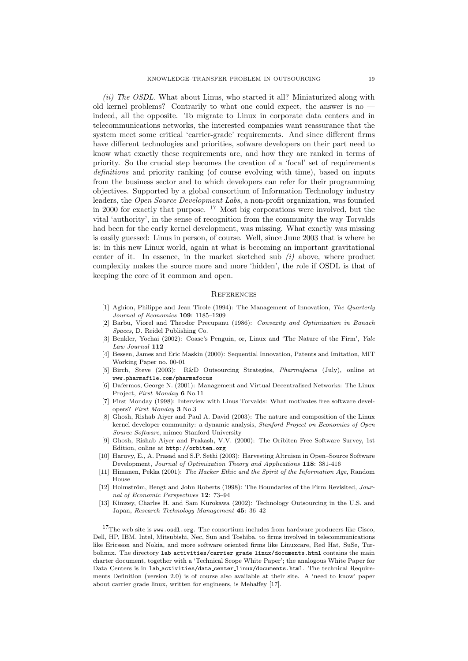(ii) The OSDL. What about Linus, who started it all? Miniaturized along with old kernel problems? Contrarily to what one could expect, the answer is no indeed, all the opposite. To migrate to Linux in corporate data centers and in telecommunications networks, the interested companies want reassurance that the system meet some critical 'carrier-grade' requirements. And since different firms have different technologies and priorities, sofware developers on their part need to know what exactly these requirements are, and how they are ranked in terms of priority. So the crucial step becomes the creation of a 'focal' set of requirements definitions and priority ranking (of course evolving with time), based on inputs from the business sector and to which developers can refer for their programming objectives. Supported by a global consortium of Information Technology industry leaders, the Open Source Development Labs, a non-profit organization, was founded in 2000 for exactly that purpose. <sup>17</sup> Most big corporations were involved, but the vital 'authority', in the sense of recognition from the community the way Torvalds had been for the early kernel development, was missing. What exactly was missing is easily guessed: Linus in person, of course. Well, since June 2003 that is where he is: in this new Linux world, again at what is becoming an important gravitational center of it. In essence, in the market sketched sub  $(i)$  above, where product complexity makes the source more and more 'hidden', the role if OSDL is that of keeping the core of it common and open.

#### **REFERENCES**

- [1] Aghion, Philippe and Jean Tirole (1994): The Management of Innovation, The Quarterly Journal of Economics 109: 1185–1209
- [2] Barbu, Viorel and Theodor Precupanu (1986): Convexity and Optimization in Banach Spaces, D. Reidel Publishing Co.
- [3] Benkler, Yochai (2002): Coase's Penguin, or, Linux and 'The Nature of the Firm', Yale Law Journal 112
- [4] Bessen, James and Eric Maskin (2000): Sequential Innovation, Patents and Imitation, MIT Working Paper no. 00-01
- [5] Birch, Steve (2003): R&D Outsourcing Strategies, Pharmafocus (July), online at www.pharmafile.com/pharmafocus
- [6] Dafermos, George N. (2001): Management and Virtual Decentralised Networks: The Linux Project, First Monday 6 No.11
- [7] First Monday (1998): Interview with Linus Torvalds: What motivates free software developers? First Monday 3 No.3
- [8] Ghosh, Rishab Aiyer and Paul A. David (2003): The nature and composition of the Linux kernel developer community: a dynamic analysis, Stanford Project on Economics of Open Source Software, mimeo Stanford University
- [9] Ghosh, Rishab Aiyer and Prakash, V.V. (2000): The Oribiten Free Software Survey, 1st Edition, online at http://orbiten.org
- [10] Haruvy, E., A. Prasad and S.P. Sethi (2003): Harvesting Altruism in Open–Source Software Development, Journal of Optimization Theory and Applications 118: 381-416
- [11] Himanen, Pekka (2001): The Hacker Ethic and the Spirit of the Information Age, Random House
- [12] Holmström, Bengt and John Roberts (1998): The Boundaries of the Firm Revisited,  $Jour$ nal of Economic Perspectives 12: 73–94
- [13] Kimzey, Charles H. and Sam Kurokawa (2002): Technology Outsourcing in the U.S. and Japan, Research Technology Management 45: 36–42

 $17$ The web site is www.osdl.org. The consortium includes from hardware producers like Cisco, Dell, HP, IBM, Intel, Mitsubishi, Nec, Sun and Toshiba, to firms involved in telecommunications like Ericsson and Nokia, and more software oriented firms like Linuxcare, Red Hat, SuSe, Turbolinux. The directory lab activities/carrier grade linux/documents.html contains the main charter document, together with a 'Technical Scope White Paper'; the analogous White Paper for Data Centers is in lab activities/data center linux/documents.html. The technical Requirements Definition (version 2.0) is of course also available at their site. A 'need to know' paper about carrier grade linux, written for engineers, is Mehaffey [17].